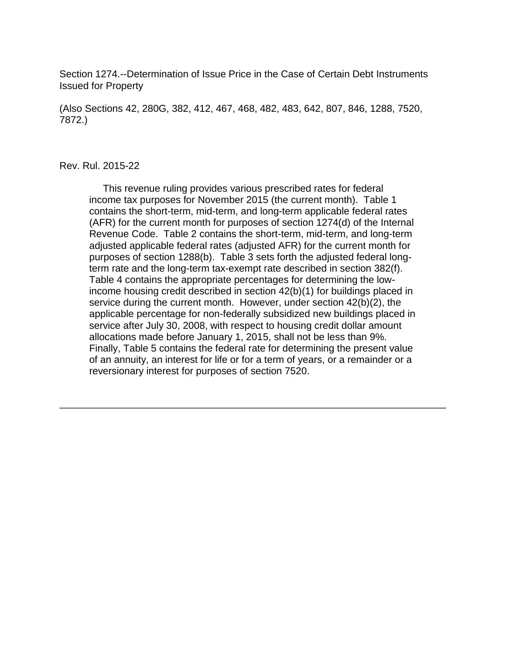Section 1274.--Determination of Issue Price in the Case of Certain Debt Instruments Issued for Property

(Also Sections 42, 280G, 382, 412, 467, 468, 482, 483, 642, 807, 846, 1288, 7520, 7872.)

#### Rev. Rul. 2015-22

 This revenue ruling provides various prescribed rates for federal income tax purposes for November 2015 (the current month). Table 1 contains the short-term, mid-term, and long-term applicable federal rates (AFR) for the current month for purposes of section 1274(d) of the Internal Revenue Code. Table 2 contains the short-term, mid-term, and long-term adjusted applicable federal rates (adjusted AFR) for the current month for purposes of section 1288(b). Table 3 sets forth the adjusted federal longterm rate and the long-term tax-exempt rate described in section 382(f). Table 4 contains the appropriate percentages for determining the lowincome housing credit described in section 42(b)(1) for buildings placed in service during the current month. However, under section 42(b)(2), the applicable percentage for non-federally subsidized new buildings placed in service after July 30, 2008, with respect to housing credit dollar amount allocations made before January 1, 2015, shall not be less than 9%. Finally, Table 5 contains the federal rate for determining the present value of an annuity, an interest for life or for a term of years, or a remainder or a reversionary interest for purposes of section 7520.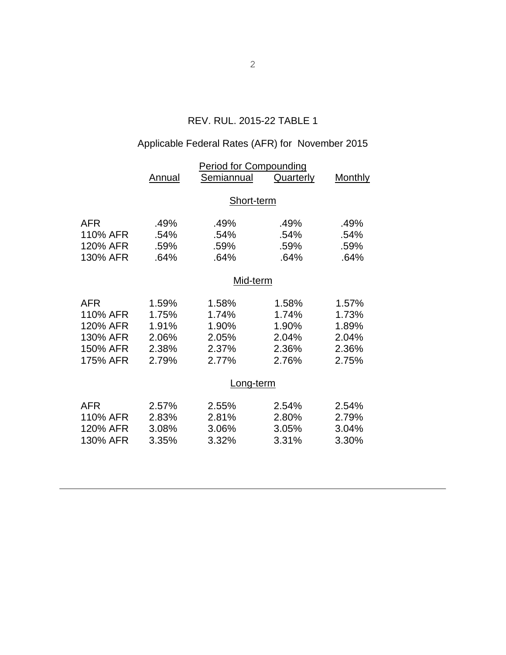# REV. RUL. 2015-22 TABLE 1

# Applicable Federal Rates (AFR) for November 2015

|            | <b>Period for Compounding</b> |            |                  |         |  |  |
|------------|-------------------------------|------------|------------------|---------|--|--|
|            | Annual                        | Semiannual | <b>Quarterly</b> | Monthly |  |  |
|            | Short-term                    |            |                  |         |  |  |
| <b>AFR</b> | .49%                          | .49%       | .49%             | .49%    |  |  |
| 110% AFR   | .54%                          | .54%       | .54%             | .54%    |  |  |
| 120% AFR   | .59%                          | .59%       | .59%             | .59%    |  |  |
| 130% AFR   | .64%                          | .64%       | .64%             | .64%    |  |  |
|            | Mid-term                      |            |                  |         |  |  |
| <b>AFR</b> | 1.59%                         | 1.58%      | 1.58%            | 1.57%   |  |  |
| 110% AFR   | 1.75%                         | 1.74%      | 1.74%            | 1.73%   |  |  |
| 120% AFR   | 1.91%                         | 1.90%      | 1.90%            | 1.89%   |  |  |
| 130% AFR   | 2.06%                         | 2.05%      | 2.04%            | 2.04%   |  |  |
| 150% AFR   | 2.38%                         | 2.37%      | 2.36%            | 2.36%   |  |  |
| 175% AFR   | 2.79%                         | 2.77%      | 2.76%            | 2.75%   |  |  |
|            | Long-term                     |            |                  |         |  |  |
| <b>AFR</b> | 2.57%                         | 2.55%      | 2.54%            | 2.54%   |  |  |
| 110% AFR   | 2.83%                         | 2.81%      | 2.80%            | 2.79%   |  |  |
| 120% AFR   | 3.08%                         | 3.06%      | 3.05%            | 3.04%   |  |  |
| 130% AFR   | 3.35%                         | 3.32%      | 3.31%            | 3.30%   |  |  |
|            |                               |            |                  |         |  |  |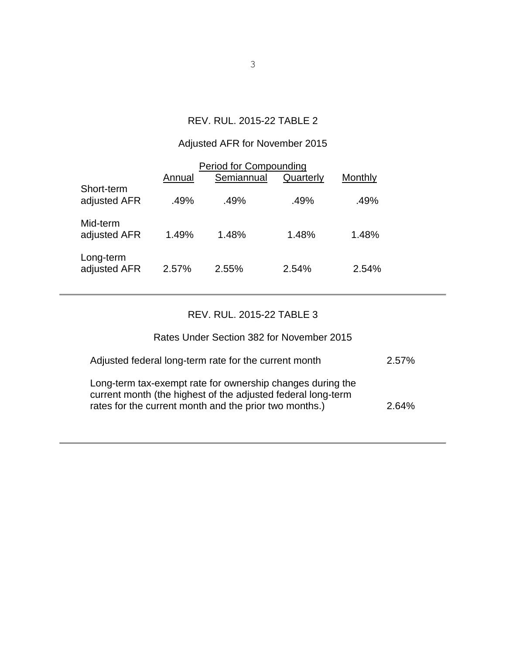## REV. RUL. 2015-22 TABLE 2

# Adjusted AFR for November 2015

| <b>Period for Compounding</b> |        |            |           |         |  |  |  |
|-------------------------------|--------|------------|-----------|---------|--|--|--|
|                               | Annual | Semiannual | Quarterly | Monthly |  |  |  |
| Short-term<br>adjusted AFR    | .49%   | .49%       | .49%      | .49%    |  |  |  |
| Mid-term<br>adjusted AFR      | 1.49%  | 1.48%      | 1.48%     | 1.48%   |  |  |  |
| Long-term<br>adjusted AFR     | 2.57%  | 2.55%      | 2.54%     | 2.54%   |  |  |  |

## REV. RUL. 2015-22 TABLE 3

## Rates Under Section 382 for November 2015

| Adjusted federal long-term rate for the current month                                                                                                                                | 2.57% |
|--------------------------------------------------------------------------------------------------------------------------------------------------------------------------------------|-------|
| Long-term tax-exempt rate for ownership changes during the<br>current month (the highest of the adjusted federal long-term<br>rates for the current month and the prior two months.) | 2.64% |